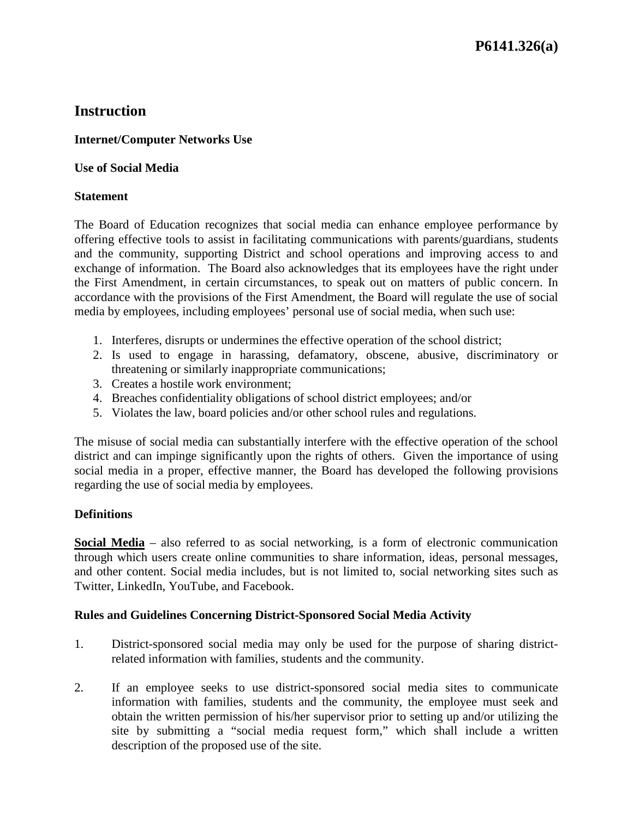## **Internet/Computer Networks Use**

#### **Use of Social Media**

#### **Statement**

The Board of Education recognizes that social media can enhance employee performance by offering effective tools to assist in facilitating communications with parents/guardians, students and the community, supporting District and school operations and improving access to and exchange of information. The Board also acknowledges that its employees have the right under the First Amendment, in certain circumstances, to speak out on matters of public concern. In accordance with the provisions of the First Amendment, the Board will regulate the use of social media by employees, including employees' personal use of social media, when such use:

- 1. Interferes, disrupts or undermines the effective operation of the school district;
- 2. Is used to engage in harassing, defamatory, obscene, abusive, discriminatory or threatening or similarly inappropriate communications;
- 3. Creates a hostile work environment;
- 4. Breaches confidentiality obligations of school district employees; and/or
- 5. Violates the law, board policies and/or other school rules and regulations.

The misuse of social media can substantially interfere with the effective operation of the school district and can impinge significantly upon the rights of others. Given the importance of using social media in a proper, effective manner, the Board has developed the following provisions regarding the use of social media by employees.

#### **Definitions**

**Social Media** – also referred to as social networking, is a form of electronic communication through which users create online communities to share information, ideas, personal messages, and other content. Social media includes, but is not limited to, social networking sites such as Twitter, LinkedIn, YouTube, and Facebook.

#### **Rules and Guidelines Concerning District-Sponsored Social Media Activity**

- 1. District-sponsored social media may only be used for the purpose of sharing districtrelated information with families, students and the community.
- 2. If an employee seeks to use district-sponsored social media sites to communicate information with families, students and the community, the employee must seek and obtain the written permission of his/her supervisor prior to setting up and/or utilizing the site by submitting a "social media request form," which shall include a written description of the proposed use of the site.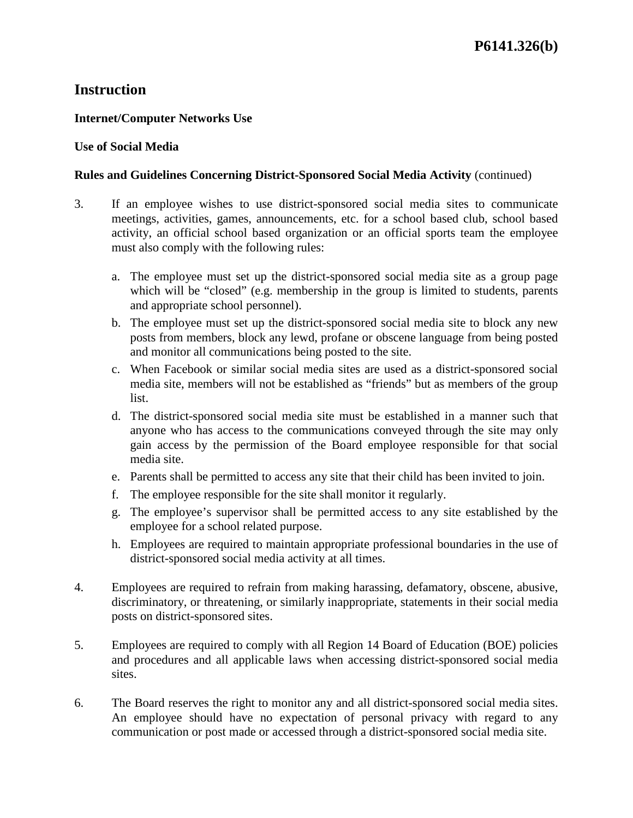## **Internet/Computer Networks Use**

#### **Use of Social Media**

### **Rules and Guidelines Concerning District-Sponsored Social Media Activity** (continued)

- 3. If an employee wishes to use district-sponsored social media sites to communicate meetings, activities, games, announcements, etc. for a school based club, school based activity, an official school based organization or an official sports team the employee must also comply with the following rules:
	- a. The employee must set up the district-sponsored social media site as a group page which will be "closed" (e.g. membership in the group is limited to students, parents and appropriate school personnel).
	- b. The employee must set up the district-sponsored social media site to block any new posts from members, block any lewd, profane or obscene language from being posted and monitor all communications being posted to the site.
	- c. When Facebook or similar social media sites are used as a district-sponsored social media site, members will not be established as "friends" but as members of the group list.
	- d. The district-sponsored social media site must be established in a manner such that anyone who has access to the communications conveyed through the site may only gain access by the permission of the Board employee responsible for that social media site.
	- e. Parents shall be permitted to access any site that their child has been invited to join.
	- f. The employee responsible for the site shall monitor it regularly.
	- g. The employee's supervisor shall be permitted access to any site established by the employee for a school related purpose.
	- h. Employees are required to maintain appropriate professional boundaries in the use of district-sponsored social media activity at all times.
- 4. Employees are required to refrain from making harassing, defamatory, obscene, abusive, discriminatory, or threatening, or similarly inappropriate, statements in their social media posts on district-sponsored sites.
- 5. Employees are required to comply with all Region 14 Board of Education (BOE) policies and procedures and all applicable laws when accessing district-sponsored social media sites.
- 6. The Board reserves the right to monitor any and all district-sponsored social media sites. An employee should have no expectation of personal privacy with regard to any communication or post made or accessed through a district-sponsored social media site.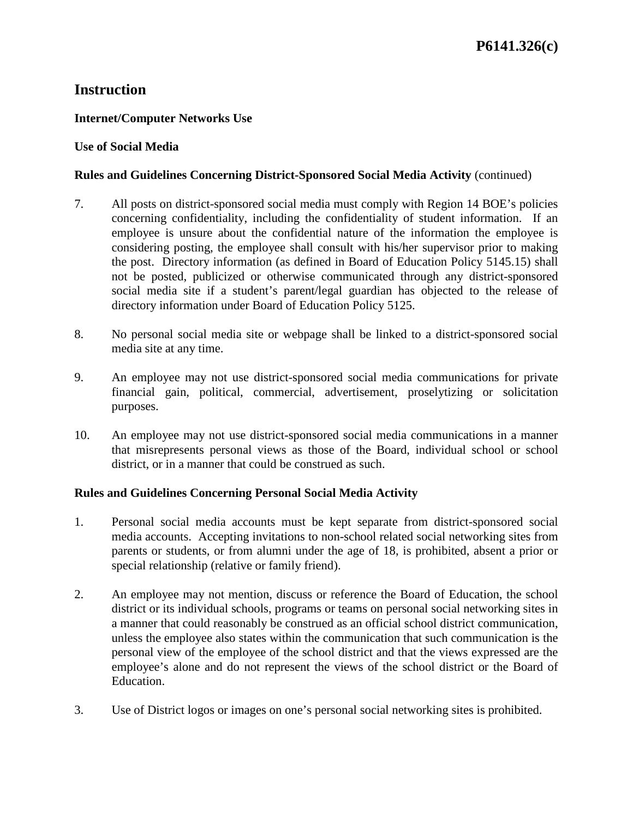## **Internet/Computer Networks Use**

#### **Use of Social Media**

#### **Rules and Guidelines Concerning District-Sponsored Social Media Activity** (continued)

- 7. All posts on district-sponsored social media must comply with Region 14 BOE's policies concerning confidentiality, including the confidentiality of student information. If an employee is unsure about the confidential nature of the information the employee is considering posting, the employee shall consult with his/her supervisor prior to making the post. Directory information (as defined in Board of Education Policy 5145.15) shall not be posted, publicized or otherwise communicated through any district-sponsored social media site if a student's parent/legal guardian has objected to the release of directory information under Board of Education Policy 5125.
- 8. No personal social media site or webpage shall be linked to a district-sponsored social media site at any time.
- 9. An employee may not use district-sponsored social media communications for private financial gain, political, commercial, advertisement, proselytizing or solicitation purposes.
- 10. An employee may not use district-sponsored social media communications in a manner that misrepresents personal views as those of the Board, individual school or school district, or in a manner that could be construed as such.

#### **Rules and Guidelines Concerning Personal Social Media Activity**

- 1. Personal social media accounts must be kept separate from district-sponsored social media accounts. Accepting invitations to non-school related social networking sites from parents or students, or from alumni under the age of 18, is prohibited, absent a prior or special relationship (relative or family friend).
- 2. An employee may not mention, discuss or reference the Board of Education, the school district or its individual schools, programs or teams on personal social networking sites in a manner that could reasonably be construed as an official school district communication, unless the employee also states within the communication that such communication is the personal view of the employee of the school district and that the views expressed are the employee's alone and do not represent the views of the school district or the Board of Education.
- 3. Use of District logos or images on one's personal social networking sites is prohibited.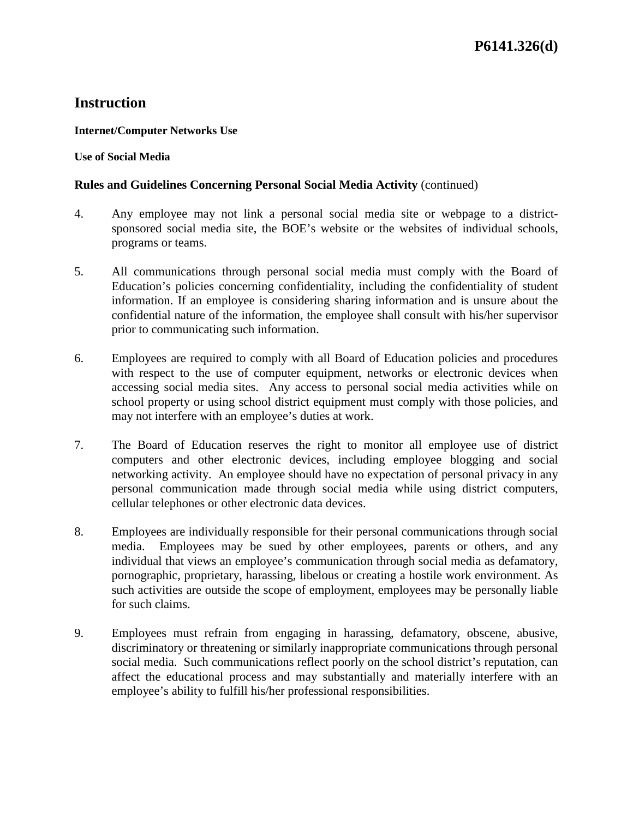#### **Internet/Computer Networks Use**

#### **Use of Social Media**

## **Rules and Guidelines Concerning Personal Social Media Activity** (continued)

- 4. Any employee may not link a personal social media site or webpage to a districtsponsored social media site, the BOE's website or the websites of individual schools, programs or teams.
- 5. All communications through personal social media must comply with the Board of Education's policies concerning confidentiality, including the confidentiality of student information. If an employee is considering sharing information and is unsure about the confidential nature of the information, the employee shall consult with his/her supervisor prior to communicating such information.
- 6. Employees are required to comply with all Board of Education policies and procedures with respect to the use of computer equipment, networks or electronic devices when accessing social media sites. Any access to personal social media activities while on school property or using school district equipment must comply with those policies, and may not interfere with an employee's duties at work.
- 7. The Board of Education reserves the right to monitor all employee use of district computers and other electronic devices, including employee blogging and social networking activity. An employee should have no expectation of personal privacy in any personal communication made through social media while using district computers, cellular telephones or other electronic data devices.
- 8. Employees are individually responsible for their personal communications through social media. Employees may be sued by other employees, parents or others, and any individual that views an employee's communication through social media as defamatory, pornographic, proprietary, harassing, libelous or creating a hostile work environment. As such activities are outside the scope of employment, employees may be personally liable for such claims.
- 9. Employees must refrain from engaging in harassing, defamatory, obscene, abusive, discriminatory or threatening or similarly inappropriate communications through personal social media. Such communications reflect poorly on the school district's reputation, can affect the educational process and may substantially and materially interfere with an employee's ability to fulfill his/her professional responsibilities.